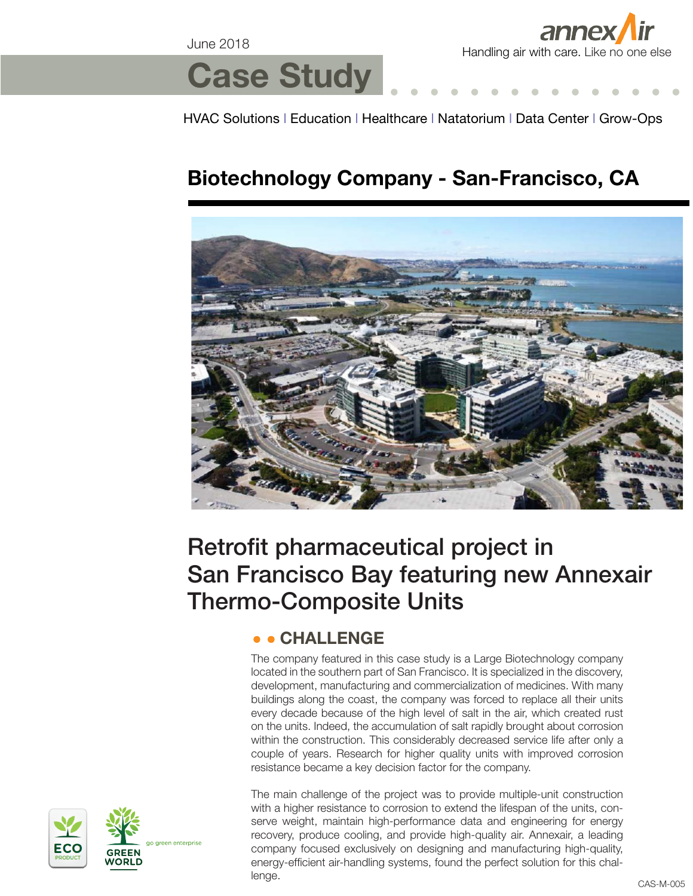June 2018



# **Case Study**

HVAC Solutions l Education l Healthcare l Natatorium l Data Center l Grow-Ops

### **Biotechnology Company - San-Francisco, CA**



## Retrofit pharmaceutical project in San Francisco Bay featuring new Annexair Thermo-Composite Units

#### **CHALLENGE**

The company featured in this case study is a Large Biotechnology company located in the southern part of San Francisco. It is specialized in the discovery, development, manufacturing and commercialization of medicines. With many buildings along the coast, the company was forced to replace all their units every decade because of the high level of salt in the air, which created rust on the units. Indeed, the accumulation of salt rapidly brought about corrosion within the construction. This considerably decreased service life after only a couple of years. Research for higher quality units with improved corrosion resistance became a key decision factor for the company.



The main challenge of the project was to provide multiple-unit construction with a higher resistance to corrosion to extend the lifespan of the units, conserve weight, maintain high-performance data and engineering for energy recovery, produce cooling, and provide high-quality air. Annexair, a leading company focused exclusively on designing and manufacturing high-quality, energy-efficient air-handling systems, found the perfect solution for this challenge.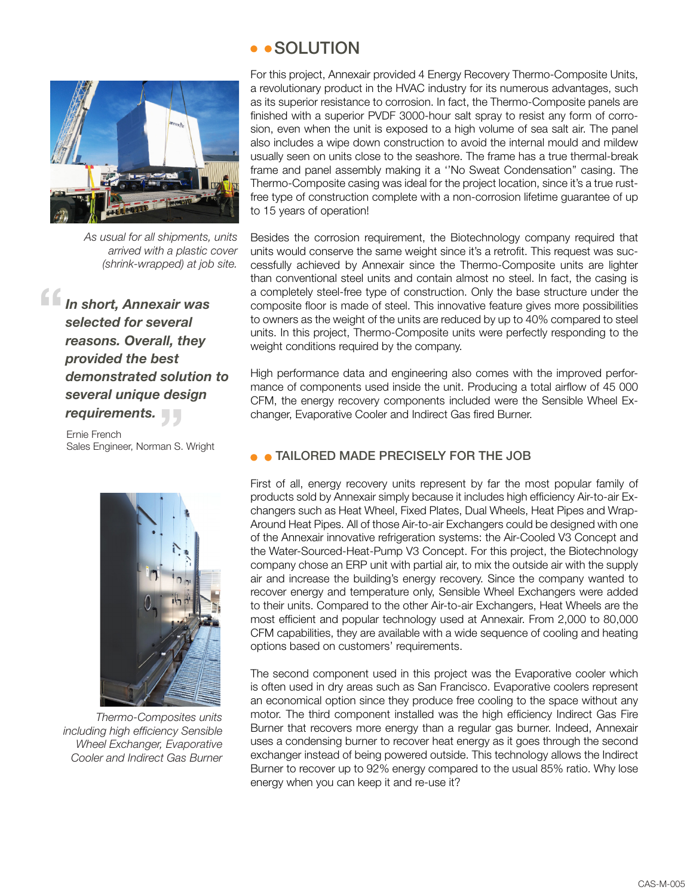

*As usual for all shipments, units arrived with a plastic cover (shrink-wrapped) at job site.*

*In short, Annexair was selected for several reasons. Overall, they provided the best demonstrated solution to several unique design requirements.* **"**

Ernie French **requirements.**<br>Ernie French<br>Sales Engineer, Norman S. Wright



*Thermo-Composites units including high efficiency Sensible Wheel Exchanger, Evaporative Cooler and Indirect Gas Burner*

#### • • SOLUTION

For this project, Annexair provided 4 Energy Recovery Thermo-Composite Units, a revolutionary product in the HVAC industry for its numerous advantages, such as its superior resistance to corrosion. In fact, the Thermo-Composite panels are finished with a superior PVDF 3000-hour salt spray to resist any form of corrosion, even when the unit is exposed to a high volume of sea salt air. The panel also includes a wipe down construction to avoid the internal mould and mildew usually seen on units close to the seashore. The frame has a true thermal-break frame and panel assembly making it a ''No Sweat Condensation'' casing. The Thermo-Composite casing was ideal for the project location, since it's a true rustfree type of construction complete with a non-corrosion lifetime guarantee of up to 15 years of operation!

Besides the corrosion requirement, the Biotechnology company required that units would conserve the same weight since it's a retrofit. This request was successfully achieved by Annexair since the Thermo-Composite units are lighter than conventional steel units and contain almost no steel. In fact, the casing is a completely steel-free type of construction. Only the base structure under the composite floor is made of steel. This innovative feature gives more possibilities to owners as the weight of the units are reduced by up to 40% compared to steel units. In this project, Thermo-Composite units were perfectly responding to the weight conditions required by the company.

High performance data and engineering also comes with the improved performance of components used inside the unit. Producing a total airflow of 45 000 CFM, the energy recovery components included were the Sensible Wheel Exchanger, Evaporative Cooler and Indirect Gas fired Burner.

#### TAILORED MADE PRECISELY FOR THE JOB

First of all, energy recovery units represent by far the most popular family of products sold by Annexair simply because it includes high efficiency Air-to-air Exchangers such as Heat Wheel, Fixed Plates, Dual Wheels, Heat Pipes and Wrap-Around Heat Pipes. All of those Air-to-air Exchangers could be designed with one of the Annexair innovative refrigeration systems: the Air-Cooled V3 Concept and the Water-Sourced-Heat-Pump V3 Concept. For this project, the Biotechnology company chose an ERP unit with partial air, to mix the outside air with the supply air and increase the building's energy recovery. Since the company wanted to recover energy and temperature only, Sensible Wheel Exchangers were added to their units. Compared to the other Air-to-air Exchangers, Heat Wheels are the most efficient and popular technology used at Annexair. From 2,000 to 80,000 CFM capabilities, they are available with a wide sequence of cooling and heating options based on customers' requirements.

The second component used in this project was the Evaporative cooler which is often used in dry areas such as San Francisco. Evaporative coolers represent an economical option since they produce free cooling to the space without any motor. The third component installed was the high efficiency Indirect Gas Fire Burner that recovers more energy than a regular gas burner. Indeed, Annexair uses a condensing burner to recover heat energy as it goes through the second exchanger instead of being powered outside. This technology allows the Indirect Burner to recover up to 92% energy compared to the usual 85% ratio. Why lose energy when you can keep it and re-use it?